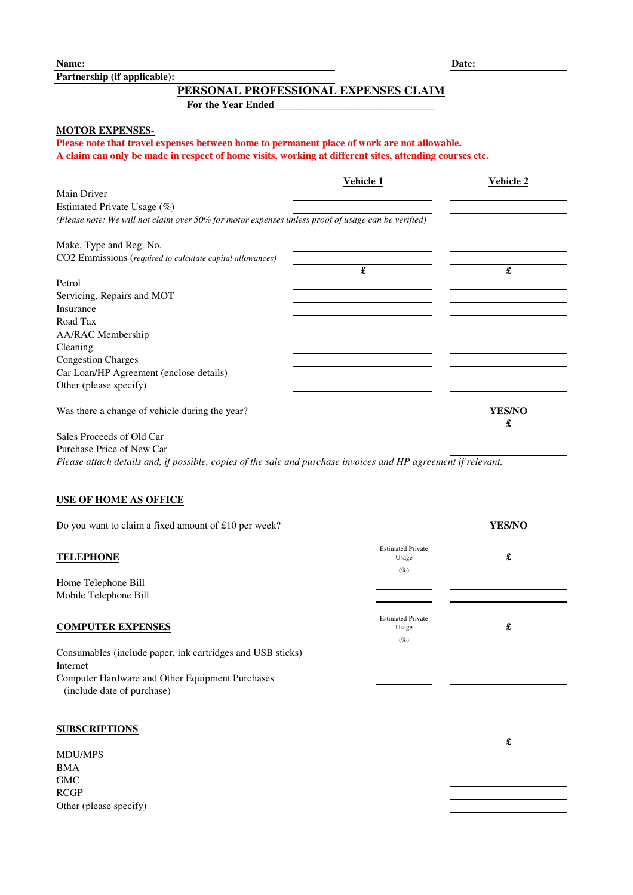**Partnership (if applicable):**

# **PERSONAL PROFESSIONAL EXPENSES CLAIM**

For the Year Ended

## **MOTOR EXPENSES-**

**Please note that travel expenses between home to permanent place of work are not allowable. A claim can only be made in respect of home visits, working at different sites, attending courses etc.**

|                                                                                                    | Vehicle 1 | <b>Vehicle 2</b>   |
|----------------------------------------------------------------------------------------------------|-----------|--------------------|
| Main Driver                                                                                        |           |                    |
| Estimated Private Usage (%)                                                                        |           |                    |
| (Please note: We will not claim over 50% for motor expenses unless proof of usage can be verified) |           |                    |
| Make, Type and Reg. No.                                                                            |           |                    |
| CO2 Emmissions (required to calculate capital allowances)                                          |           |                    |
|                                                                                                    | £         | £                  |
| Petrol                                                                                             |           |                    |
| Servicing, Repairs and MOT                                                                         |           |                    |
| Insurance                                                                                          |           |                    |
| Road Tax                                                                                           |           |                    |
| AA/RAC Membership                                                                                  |           |                    |
| Cleaning                                                                                           |           |                    |
| <b>Congestion Charges</b>                                                                          |           |                    |
| Car Loan/HP Agreement (enclose details)                                                            |           |                    |
| Other (please specify)                                                                             |           |                    |
| Was there a change of vehicle during the year?                                                     |           | <b>YES/NO</b><br>£ |
| Sales Proceeds of Old Car                                                                          |           |                    |

Purchase Price of New Car

*Please attach details and, if possible, copies of the sale and purchase invoices and HP agreement if relevant.*

### **USE OF HOME AS OFFICE**

| Do you want to claim a fixed amount of £10 per week?                          |                                             | <b>YES/NO</b> |
|-------------------------------------------------------------------------------|---------------------------------------------|---------------|
| <b>TELEPHONE</b>                                                              | <b>Estimated Private</b><br>Usage<br>(%)    | £             |
| Home Telephone Bill                                                           |                                             |               |
| Mobile Telephone Bill                                                         |                                             |               |
| <b>COMPUTER EXPENSES</b>                                                      | <b>Estimated Private</b><br>Usage<br>$(\%)$ | £             |
| Consumables (include paper, ink cartridges and USB sticks)                    |                                             |               |
| Internet                                                                      |                                             |               |
| Computer Hardware and Other Equipment Purchases<br>(include date of purchase) |                                             |               |

## **SUBSCRIPTIONS**

|                        | £ |
|------------------------|---|
| MDU/MPS                |   |
| <b>BMA</b>             |   |
| GMC                    |   |
| <b>RCGP</b>            |   |
| Other (please specify) |   |